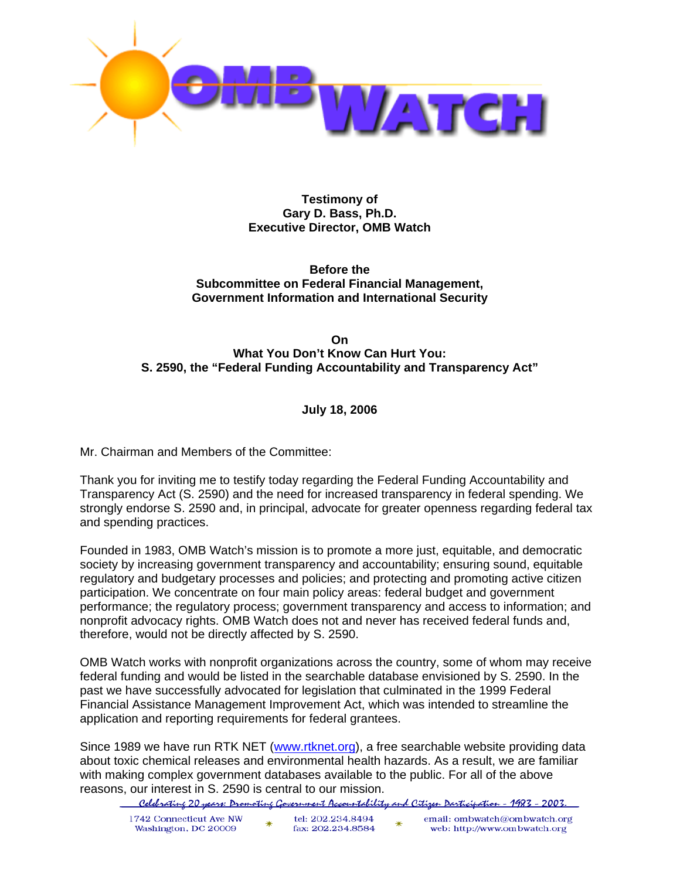

**Testimony of Gary D. Bass, Ph.D. Executive Director, OMB Watch** 

**Before the Subcommittee on Federal Financial Management, Government Information and International Security** 

#### **On What You Don't Know Can Hurt You: S. 2590, the "Federal Funding Accountability and Transparency Act"**

#### **July 18, 2006**

Mr. Chairman and Members of the Committee:

Thank you for inviting me to testify today regarding the Federal Funding Accountability and Transparency Act (S. 2590) and the need for increased transparency in federal spending. We strongly endorse S. 2590 and, in principal, advocate for greater openness regarding federal tax and spending practices.

Founded in 1983, OMB Watch's mission is to promote a more just, equitable, and democratic society by increasing government transparency and accountability; ensuring sound, equitable regulatory and budgetary processes and policies; and protecting and promoting active citizen participation. We concentrate on four main policy areas: federal budget and government performance; the regulatory process; government transparency and access to information; and nonprofit advocacy rights. OMB Watch does not and never has received federal funds and, therefore, would not be directly affected by S. 2590.

OMB Watch works with nonprofit organizations across the country, some of whom may receive federal funding and would be listed in the searchable database envisioned by S. 2590. In the past we have successfully advocated for legislation that culminated in the 1999 Federal Financial Assistance Management Improvement Act, which was intended to streamline the application and reporting requirements for federal grantees.

Since 1989 we have run RTK NET (www.rtknet.org), a free searchable website providing data about toxic chemical releases and environmental health hazards. As a result, we are familiar with making complex government databases available to the public. For all of the above reasons, our interest in S. 2590 is central to our mission.

Celebrating 20 years: Dromoting Government Accountability and Citizen Darticipation - 1983 - 2003.

| 1742 Connecticut Ave NW<br>Washington, DC 20009 | tel: 202.234.8494<br>fax: 202.234.8584 | email: ombwatch@ombwatch.org<br>web: http://www.ombwatch.org |
|-------------------------------------------------|----------------------------------------|--------------------------------------------------------------|
|                                                 |                                        |                                                              |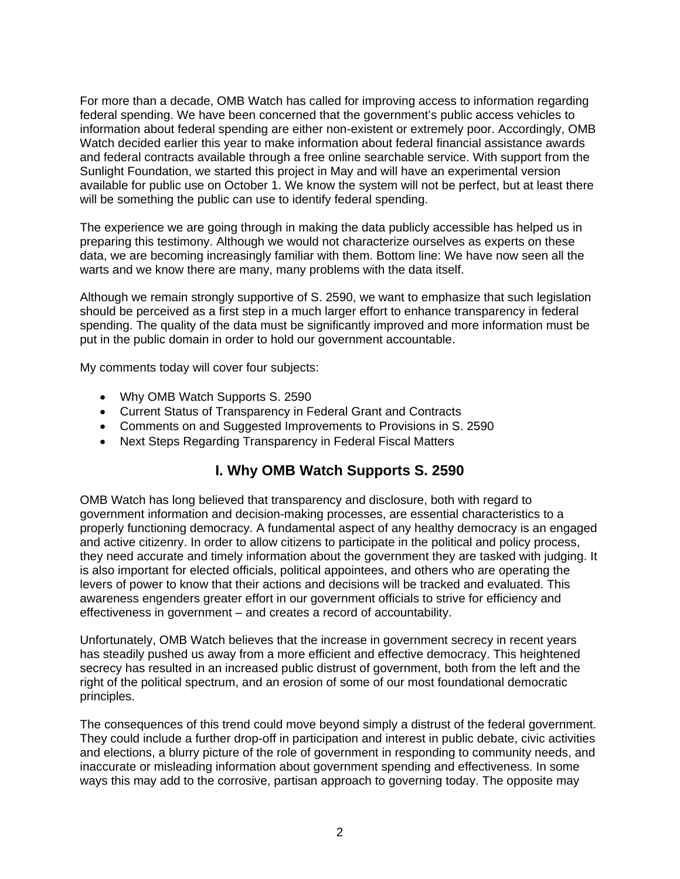For more than a decade, OMB Watch has called for improving access to information regarding federal spending. We have been concerned that the government's public access vehicles to information about federal spending are either non-existent or extremely poor. Accordingly, OMB Watch decided earlier this year to make information about federal financial assistance awards and federal contracts available through a free online searchable service. With support from the Sunlight Foundation, we started this project in May and will have an experimental version available for public use on October 1. We know the system will not be perfect, but at least there will be something the public can use to identify federal spending.

The experience we are going through in making the data publicly accessible has helped us in preparing this testimony. Although we would not characterize ourselves as experts on these data, we are becoming increasingly familiar with them. Bottom line: We have now seen all the warts and we know there are many, many problems with the data itself.

Although we remain strongly supportive of S. 2590, we want to emphasize that such legislation should be perceived as a first step in a much larger effort to enhance transparency in federal spending. The quality of the data must be significantly improved and more information must be put in the public domain in order to hold our government accountable.

My comments today will cover four subjects:

- Why OMB Watch Supports S. 2590
- Current Status of Transparency in Federal Grant and Contracts
- Comments on and Suggested Improvements to Provisions in S. 2590
- Next Steps Regarding Transparency in Federal Fiscal Matters

# **I. Why OMB Watch Supports S. 2590**

OMB Watch has long believed that transparency and disclosure, both with regard to government information and decision-making processes, are essential characteristics to a properly functioning democracy. A fundamental aspect of any healthy democracy is an engaged and active citizenry. In order to allow citizens to participate in the political and policy process, they need accurate and timely information about the government they are tasked with judging. It is also important for elected officials, political appointees, and others who are operating the levers of power to know that their actions and decisions will be tracked and evaluated. This awareness engenders greater effort in our government officials to strive for efficiency and effectiveness in government – and creates a record of accountability.

Unfortunately, OMB Watch believes that the increase in government secrecy in recent years has steadily pushed us away from a more efficient and effective democracy. This heightened secrecy has resulted in an increased public distrust of government, both from the left and the right of the political spectrum, and an erosion of some of our most foundational democratic principles.

The consequences of this trend could move beyond simply a distrust of the federal government. They could include a further drop-off in participation and interest in public debate, civic activities and elections, a blurry picture of the role of government in responding to community needs, and inaccurate or misleading information about government spending and effectiveness. In some ways this may add to the corrosive, partisan approach to governing today. The opposite may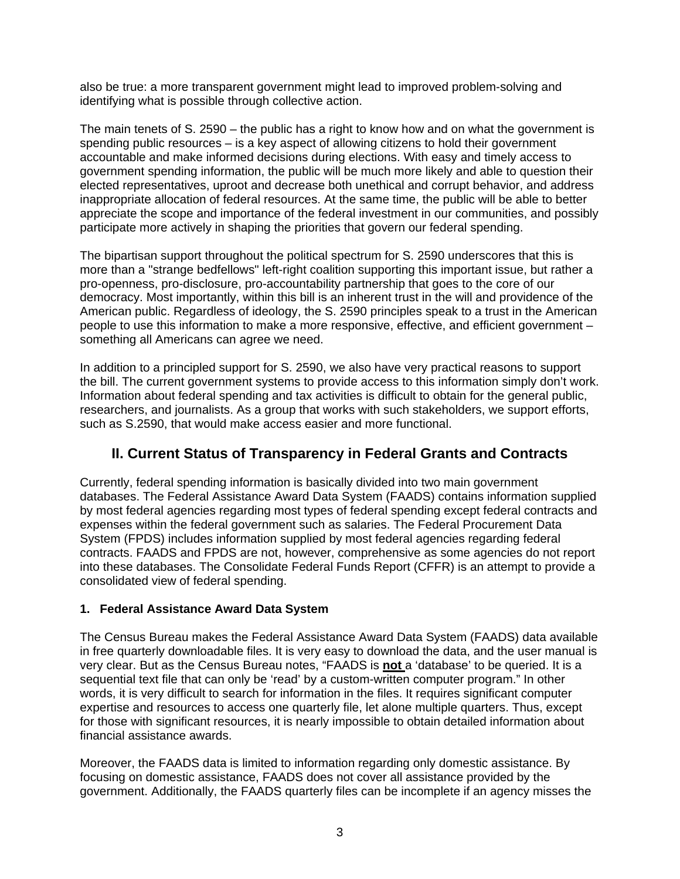also be true: a more transparent government might lead to improved problem-solving and identifying what is possible through collective action.

The main tenets of S. 2590 – the public has a right to know how and on what the government is spending public resources – is a key aspect of allowing citizens to hold their government accountable and make informed decisions during elections. With easy and timely access to government spending information, the public will be much more likely and able to question their elected representatives, uproot and decrease both unethical and corrupt behavior, and address inappropriate allocation of federal resources. At the same time, the public will be able to better appreciate the scope and importance of the federal investment in our communities, and possibly participate more actively in shaping the priorities that govern our federal spending.

The bipartisan support throughout the political spectrum for S. 2590 underscores that this is more than a "strange bedfellows" left-right coalition supporting this important issue, but rather a pro-openness, pro-disclosure, pro-accountability partnership that goes to the core of our democracy. Most importantly, within this bill is an inherent trust in the will and providence of the American public. Regardless of ideology, the S. 2590 principles speak to a trust in the American people to use this information to make a more responsive, effective, and efficient government – something all Americans can agree we need.

In addition to a principled support for S. 2590, we also have very practical reasons to support the bill. The current government systems to provide access to this information simply don't work. Information about federal spending and tax activities is difficult to obtain for the general public, researchers, and journalists. As a group that works with such stakeholders, we support efforts, such as S.2590, that would make access easier and more functional.

# **II. Current Status of Transparency in Federal Grants and Contracts**

Currently, federal spending information is basically divided into two main government databases. The Federal Assistance Award Data System (FAADS) contains information supplied by most federal agencies regarding most types of federal spending except federal contracts and expenses within the federal government such as salaries. The Federal Procurement Data System (FPDS) includes information supplied by most federal agencies regarding federal contracts. FAADS and FPDS are not, however, comprehensive as some agencies do not report into these databases. The Consolidate Federal Funds Report (CFFR) is an attempt to provide a consolidated view of federal spending.

## **1. Federal Assistance Award Data System**

The Census Bureau makes the Federal Assistance Award Data System (FAADS) data available in free quarterly downloadable files. It is very easy to download the data, and the user manual is very clear. But as the Census Bureau notes, "FAADS is **not** a 'database' to be queried. It is a sequential text file that can only be 'read' by a custom-written computer program." In other words, it is very difficult to search for information in the files. It requires significant computer expertise and resources to access one quarterly file, let alone multiple quarters. Thus, except for those with significant resources, it is nearly impossible to obtain detailed information about financial assistance awards.

Moreover, the FAADS data is limited to information regarding only domestic assistance. By focusing on domestic assistance, FAADS does not cover all assistance provided by the government. Additionally, the FAADS quarterly files can be incomplete if an agency misses the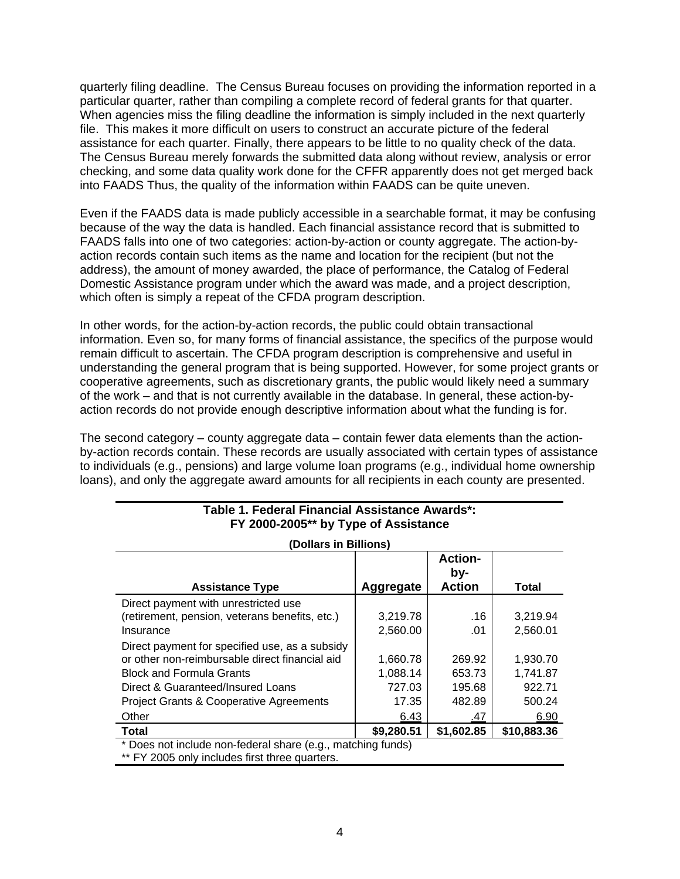quarterly filing deadline. The Census Bureau focuses on providing the information reported in a particular quarter, rather than compiling a complete record of federal grants for that quarter. When agencies miss the filing deadline the information is simply included in the next quarterly file. This makes it more difficult on users to construct an accurate picture of the federal assistance for each quarter. Finally, there appears to be little to no quality check of the data. The Census Bureau merely forwards the submitted data along without review, analysis or error checking, and some data quality work done for the CFFR apparently does not get merged back into FAADS Thus, the quality of the information within FAADS can be quite uneven.

Even if the FAADS data is made publicly accessible in a searchable format, it may be confusing because of the way the data is handled. Each financial assistance record that is submitted to FAADS falls into one of two categories: action-by-action or county aggregate. The action-byaction records contain such items as the name and location for the recipient (but not the address), the amount of money awarded, the place of performance, the Catalog of Federal Domestic Assistance program under which the award was made, and a project description, which often is simply a repeat of the CFDA program description.

In other words, for the action-by-action records, the public could obtain transactional information. Even so, for many forms of financial assistance, the specifics of the purpose would remain difficult to ascertain. The CFDA program description is comprehensive and useful in understanding the general program that is being supported. However, for some project grants or cooperative agreements, such as discretionary grants, the public would likely need a summary of the work – and that is not currently available in the database. In general, these action-byaction records do not provide enough descriptive information about what the funding is for.

The second category – county aggregate data – contain fewer data elements than the actionby-action records contain. These records are usually associated with certain types of assistance to individuals (e.g., pensions) and large volume loan programs (e.g., individual home ownership loans), and only the aggregate award amounts for all recipients in each county are presented.

| <b>Assistance Type</b>                                      | Aggregate  | <b>Action-</b><br>by-<br><b>Action</b> | <b>Total</b> |  |  |  |
|-------------------------------------------------------------|------------|----------------------------------------|--------------|--|--|--|
| Direct payment with unrestricted use                        |            |                                        |              |  |  |  |
| (retirement, pension, veterans benefits, etc.)              | 3,219.78   | .16                                    | 3,219.94     |  |  |  |
| Insurance                                                   | 2,560.00   | .01                                    | 2,560.01     |  |  |  |
| Direct payment for specified use, as a subsidy              |            |                                        |              |  |  |  |
| or other non-reimbursable direct financial aid              | 1,660.78   | 269.92                                 | 1,930.70     |  |  |  |
| <b>Block and Formula Grants</b>                             | 1,088.14   | 653.73                                 | 1,741.87     |  |  |  |
| Direct & Guaranteed/Insured Loans                           | 727.03     | 195.68                                 | 922.71       |  |  |  |
| <b>Project Grants &amp; Cooperative Agreements</b>          | 17.35      | 482.89                                 | 500.24       |  |  |  |
| Other                                                       | 6.43       | <u>.47</u>                             | 6.90         |  |  |  |
| <b>Total</b>                                                | \$9,280.51 | \$1,602.85                             | \$10,883.36  |  |  |  |
| * Does not include non-federal share (e.g., matching funds) |            |                                        |              |  |  |  |

#### **Table 1. Federal Financial Assistance Awards\*: FY 2000-2005\*\* by Type of Assistance**

**(Dollars in Billions)** 

\*\* FY 2005 only includes first three quarters.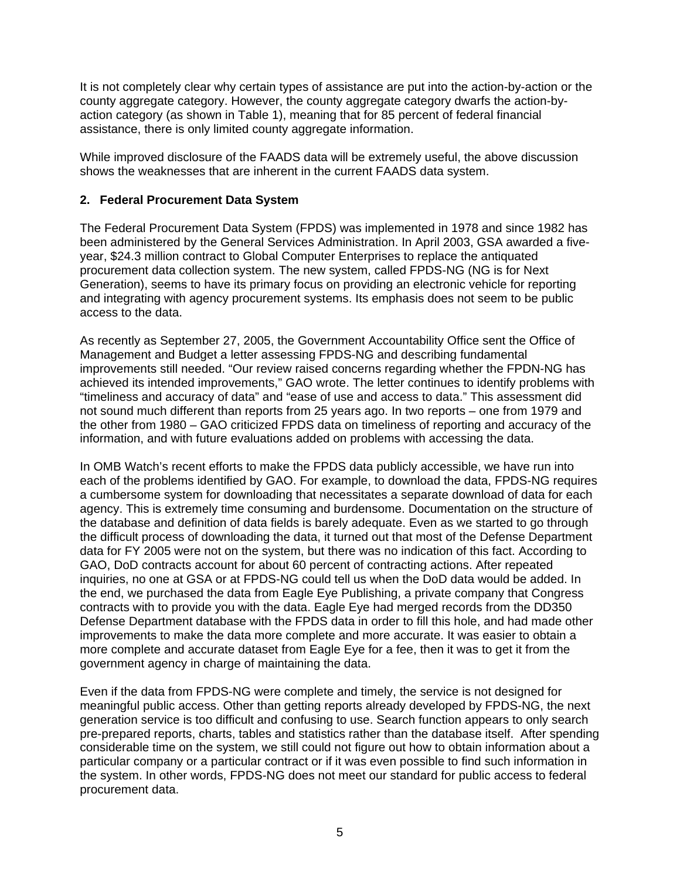It is not completely clear why certain types of assistance are put into the action-by-action or the county aggregate category. However, the county aggregate category dwarfs the action-byaction category (as shown in Table 1), meaning that for 85 percent of federal financial assistance, there is only limited county aggregate information.

While improved disclosure of the FAADS data will be extremely useful, the above discussion shows the weaknesses that are inherent in the current FAADS data system.

#### **2. Federal Procurement Data System**

The Federal Procurement Data System (FPDS) was implemented in 1978 and since 1982 has been administered by the General Services Administration. In April 2003, GSA awarded a fiveyear, \$24.3 million contract to Global Computer Enterprises to replace the antiquated procurement data collection system. The new system, called FPDS-NG (NG is for Next Generation), seems to have its primary focus on providing an electronic vehicle for reporting and integrating with agency procurement systems. Its emphasis does not seem to be public access to the data.

As recently as September 27, 2005, the Government Accountability Office sent the Office of Management and Budget a letter assessing FPDS-NG and describing fundamental improvements still needed. "Our review raised concerns regarding whether the FPDN-NG has achieved its intended improvements," GAO wrote. The letter continues to identify problems with "timeliness and accuracy of data" and "ease of use and access to data." This assessment did not sound much different than reports from 25 years ago. In two reports – one from 1979 and the other from 1980 – GAO criticized FPDS data on timeliness of reporting and accuracy of the information, and with future evaluations added on problems with accessing the data.

In OMB Watch's recent efforts to make the FPDS data publicly accessible, we have run into each of the problems identified by GAO. For example, to download the data, FPDS-NG requires a cumbersome system for downloading that necessitates a separate download of data for each agency. This is extremely time consuming and burdensome. Documentation on the structure of the database and definition of data fields is barely adequate. Even as we started to go through the difficult process of downloading the data, it turned out that most of the Defense Department data for FY 2005 were not on the system, but there was no indication of this fact. According to GAO, DoD contracts account for about 60 percent of contracting actions. After repeated inquiries, no one at GSA or at FPDS-NG could tell us when the DoD data would be added. In the end, we purchased the data from Eagle Eye Publishing, a private company that Congress contracts with to provide you with the data. Eagle Eye had merged records from the DD350 Defense Department database with the FPDS data in order to fill this hole, and had made other improvements to make the data more complete and more accurate. It was easier to obtain a more complete and accurate dataset from Eagle Eye for a fee, then it was to get it from the government agency in charge of maintaining the data.

Even if the data from FPDS-NG were complete and timely, the service is not designed for meaningful public access. Other than getting reports already developed by FPDS-NG, the next generation service is too difficult and confusing to use. Search function appears to only search pre-prepared reports, charts, tables and statistics rather than the database itself. After spending considerable time on the system, we still could not figure out how to obtain information about a particular company or a particular contract or if it was even possible to find such information in the system. In other words, FPDS-NG does not meet our standard for public access to federal procurement data.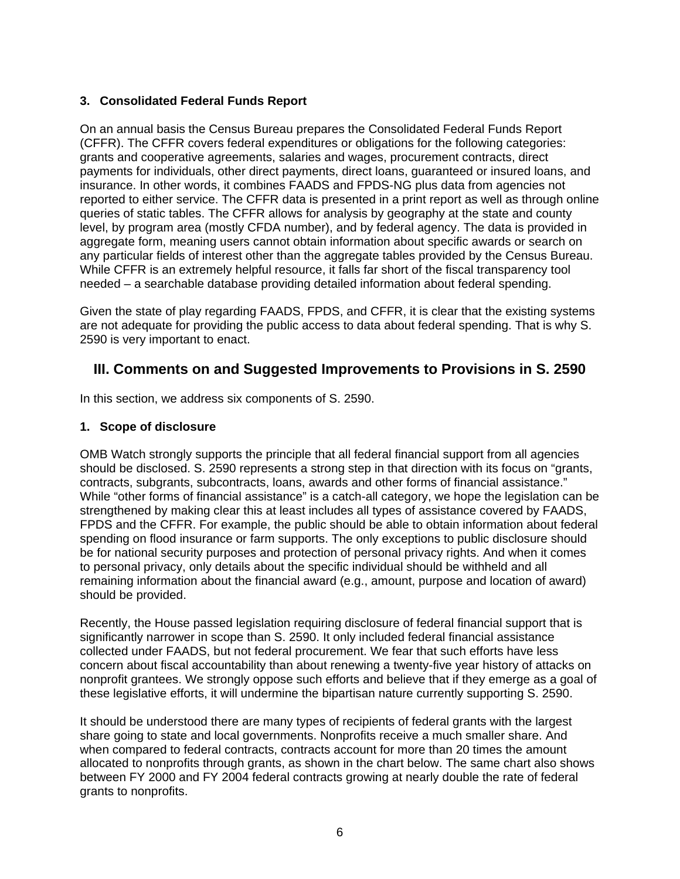## **3. Consolidated Federal Funds Report**

On an annual basis the Census Bureau prepares the Consolidated Federal Funds Report (CFFR). The CFFR covers federal expenditures or obligations for the following categories: grants and cooperative agreements, salaries and wages, procurement contracts, direct payments for individuals, other direct payments, direct loans, guaranteed or insured loans, and insurance. In other words, it combines FAADS and FPDS-NG plus data from agencies not reported to either service. The CFFR data is presented in a print report as well as through online queries of static tables. The CFFR allows for analysis by geography at the state and county level, by program area (mostly CFDA number), and by federal agency. The data is provided in aggregate form, meaning users cannot obtain information about specific awards or search on any particular fields of interest other than the aggregate tables provided by the Census Bureau. While CFFR is an extremely helpful resource, it falls far short of the fiscal transparency tool needed – a searchable database providing detailed information about federal spending.

Given the state of play regarding FAADS, FPDS, and CFFR, it is clear that the existing systems are not adequate for providing the public access to data about federal spending. That is why S. 2590 is very important to enact.

# **III. Comments on and Suggested Improvements to Provisions in S. 2590**

In this section, we address six components of S. 2590.

#### **1. Scope of disclosure**

OMB Watch strongly supports the principle that all federal financial support from all agencies should be disclosed. S. 2590 represents a strong step in that direction with its focus on "grants, contracts, subgrants, subcontracts, loans, awards and other forms of financial assistance." While "other forms of financial assistance" is a catch-all category, we hope the legislation can be strengthened by making clear this at least includes all types of assistance covered by FAADS, FPDS and the CFFR. For example, the public should be able to obtain information about federal spending on flood insurance or farm supports. The only exceptions to public disclosure should be for national security purposes and protection of personal privacy rights. And when it comes to personal privacy, only details about the specific individual should be withheld and all remaining information about the financial award (e.g., amount, purpose and location of award) should be provided.

Recently, the House passed legislation requiring disclosure of federal financial support that is significantly narrower in scope than S. 2590. It only included federal financial assistance collected under FAADS, but not federal procurement. We fear that such efforts have less concern about fiscal accountability than about renewing a twenty-five year history of attacks on nonprofit grantees. We strongly oppose such efforts and believe that if they emerge as a goal of these legislative efforts, it will undermine the bipartisan nature currently supporting S. 2590.

It should be understood there are many types of recipients of federal grants with the largest share going to state and local governments. Nonprofits receive a much smaller share. And when compared to federal contracts, contracts account for more than 20 times the amount allocated to nonprofits through grants, as shown in the chart below. The same chart also shows between FY 2000 and FY 2004 federal contracts growing at nearly double the rate of federal grants to nonprofits.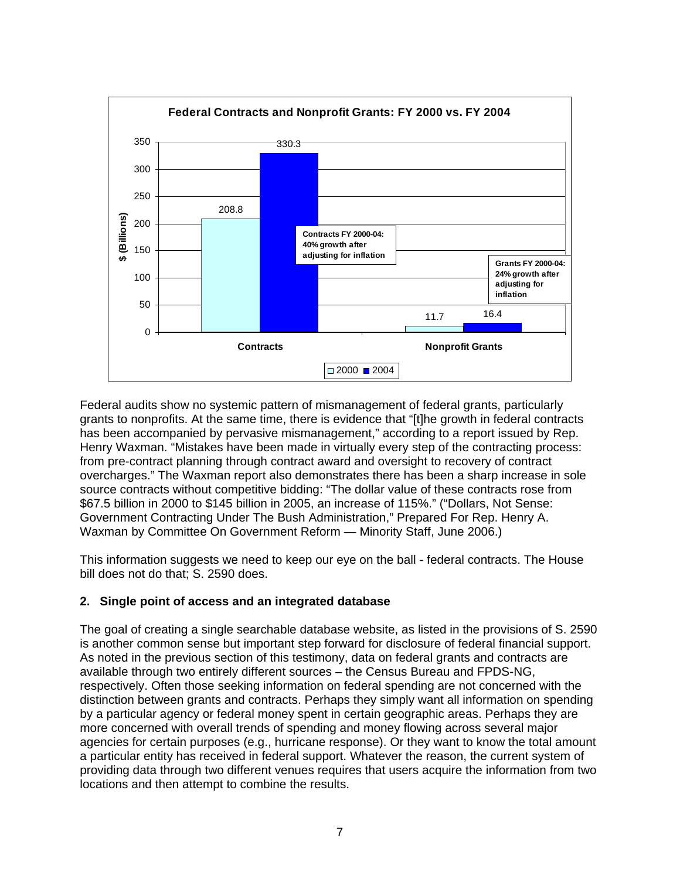

Federal audits show no systemic pattern of mismanagement of federal grants, particularly grants to nonprofits. At the same time, there is evidence that "[t]he growth in federal contracts has been accompanied by pervasive mismanagement," according to a report issued by Rep. Henry Waxman. "Mistakes have been made in virtually every step of the contracting process: from pre-contract planning through contract award and oversight to recovery of contract overcharges." The Waxman report also demonstrates there has been a sharp increase in sole source contracts without competitive bidding: "The dollar value of these contracts rose from \$67.5 billion in 2000 to \$145 billion in 2005, an increase of 115%." ("Dollars, Not Sense: Government Contracting Under The Bush Administration," Prepared For Rep. Henry A. Waxman by Committee On Government Reform — Minority Staff, June 2006.)

This information suggests we need to keep our eye on the ball - federal contracts. The House bill does not do that; S. 2590 does.

## **2. Single point of access and an integrated database**

The goal of creating a single searchable database website, as listed in the provisions of S. 2590 is another common sense but important step forward for disclosure of federal financial support. As noted in the previous section of this testimony, data on federal grants and contracts are available through two entirely different sources – the Census Bureau and FPDS-NG, respectively. Often those seeking information on federal spending are not concerned with the distinction between grants and contracts. Perhaps they simply want all information on spending by a particular agency or federal money spent in certain geographic areas. Perhaps they are more concerned with overall trends of spending and money flowing across several major agencies for certain purposes (e.g., hurricane response). Or they want to know the total amount a particular entity has received in federal support. Whatever the reason, the current system of providing data through two different venues requires that users acquire the information from two locations and then attempt to combine the results.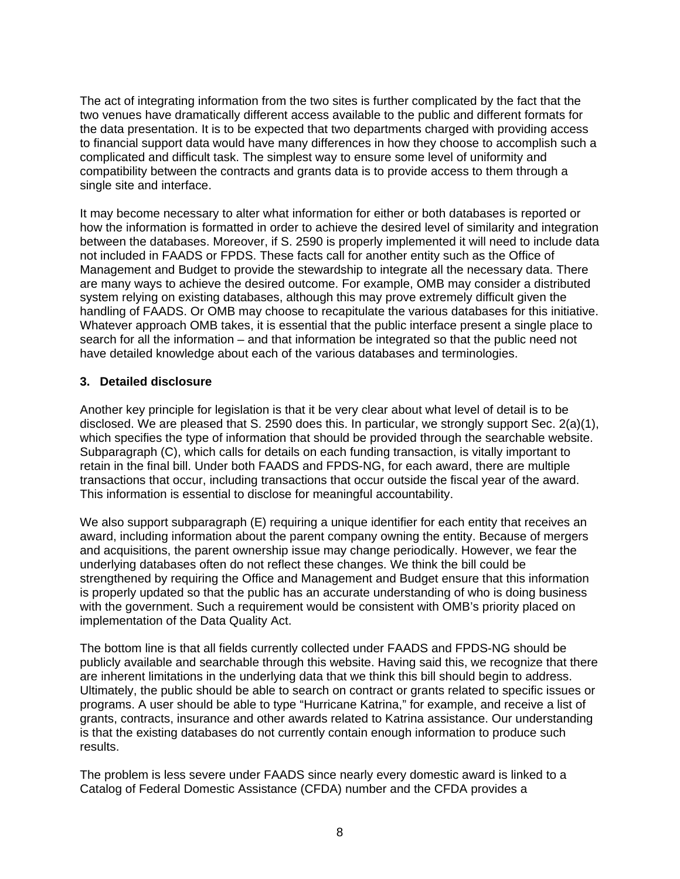The act of integrating information from the two sites is further complicated by the fact that the two venues have dramatically different access available to the public and different formats for the data presentation. It is to be expected that two departments charged with providing access to financial support data would have many differences in how they choose to accomplish such a complicated and difficult task. The simplest way to ensure some level of uniformity and compatibility between the contracts and grants data is to provide access to them through a single site and interface.

It may become necessary to alter what information for either or both databases is reported or how the information is formatted in order to achieve the desired level of similarity and integration between the databases. Moreover, if S. 2590 is properly implemented it will need to include data not included in FAADS or FPDS. These facts call for another entity such as the Office of Management and Budget to provide the stewardship to integrate all the necessary data. There are many ways to achieve the desired outcome. For example, OMB may consider a distributed system relying on existing databases, although this may prove extremely difficult given the handling of FAADS. Or OMB may choose to recapitulate the various databases for this initiative. Whatever approach OMB takes, it is essential that the public interface present a single place to search for all the information – and that information be integrated so that the public need not have detailed knowledge about each of the various databases and terminologies.

#### **3. Detailed disclosure**

Another key principle for legislation is that it be very clear about what level of detail is to be disclosed. We are pleased that S. 2590 does this. In particular, we strongly support Sec. 2(a)(1), which specifies the type of information that should be provided through the searchable website. Subparagraph (C), which calls for details on each funding transaction, is vitally important to retain in the final bill. Under both FAADS and FPDS-NG, for each award, there are multiple transactions that occur, including transactions that occur outside the fiscal year of the award. This information is essential to disclose for meaningful accountability.

We also support subparagraph (E) requiring a unique identifier for each entity that receives an award, including information about the parent company owning the entity. Because of mergers and acquisitions, the parent ownership issue may change periodically. However, we fear the underlying databases often do not reflect these changes. We think the bill could be strengthened by requiring the Office and Management and Budget ensure that this information is properly updated so that the public has an accurate understanding of who is doing business with the government. Such a requirement would be consistent with OMB's priority placed on implementation of the Data Quality Act.

The bottom line is that all fields currently collected under FAADS and FPDS-NG should be publicly available and searchable through this website. Having said this, we recognize that there are inherent limitations in the underlying data that we think this bill should begin to address. Ultimately, the public should be able to search on contract or grants related to specific issues or programs. A user should be able to type "Hurricane Katrina," for example, and receive a list of grants, contracts, insurance and other awards related to Katrina assistance. Our understanding is that the existing databases do not currently contain enough information to produce such results.

The problem is less severe under FAADS since nearly every domestic award is linked to a Catalog of Federal Domestic Assistance (CFDA) number and the CFDA provides a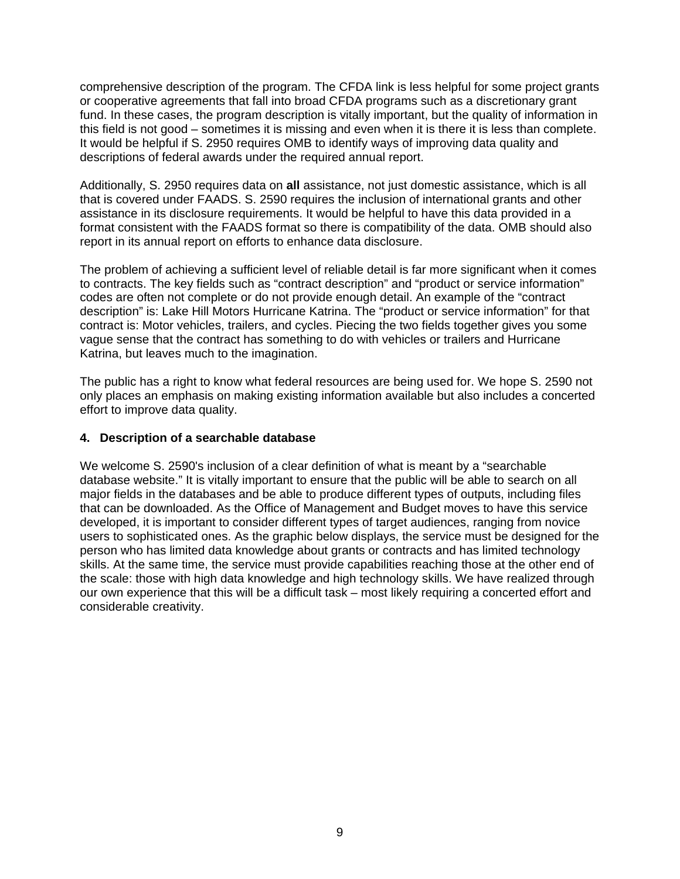comprehensive description of the program. The CFDA link is less helpful for some project grants or cooperative agreements that fall into broad CFDA programs such as a discretionary grant fund. In these cases, the program description is vitally important, but the quality of information in this field is not good – sometimes it is missing and even when it is there it is less than complete. It would be helpful if S. 2950 requires OMB to identify ways of improving data quality and descriptions of federal awards under the required annual report.

Additionally, S. 2950 requires data on **all** assistance, not just domestic assistance, which is all that is covered under FAADS. S. 2590 requires the inclusion of international grants and other assistance in its disclosure requirements. It would be helpful to have this data provided in a format consistent with the FAADS format so there is compatibility of the data. OMB should also report in its annual report on efforts to enhance data disclosure.

The problem of achieving a sufficient level of reliable detail is far more significant when it comes to contracts. The key fields such as "contract description" and "product or service information" codes are often not complete or do not provide enough detail. An example of the "contract description" is: Lake Hill Motors Hurricane Katrina. The "product or service information" for that contract is: Motor vehicles, trailers, and cycles. Piecing the two fields together gives you some vague sense that the contract has something to do with vehicles or trailers and Hurricane Katrina, but leaves much to the imagination.

The public has a right to know what federal resources are being used for. We hope S. 2590 not only places an emphasis on making existing information available but also includes a concerted effort to improve data quality.

#### **4. Description of a searchable database**

We welcome S. 2590's inclusion of a clear definition of what is meant by a "searchable database website." It is vitally important to ensure that the public will be able to search on all major fields in the databases and be able to produce different types of outputs, including files that can be downloaded. As the Office of Management and Budget moves to have this service developed, it is important to consider different types of target audiences, ranging from novice users to sophisticated ones. As the graphic below displays, the service must be designed for the person who has limited data knowledge about grants or contracts and has limited technology skills. At the same time, the service must provide capabilities reaching those at the other end of the scale: those with high data knowledge and high technology skills. We have realized through our own experience that this will be a difficult task – most likely requiring a concerted effort and considerable creativity.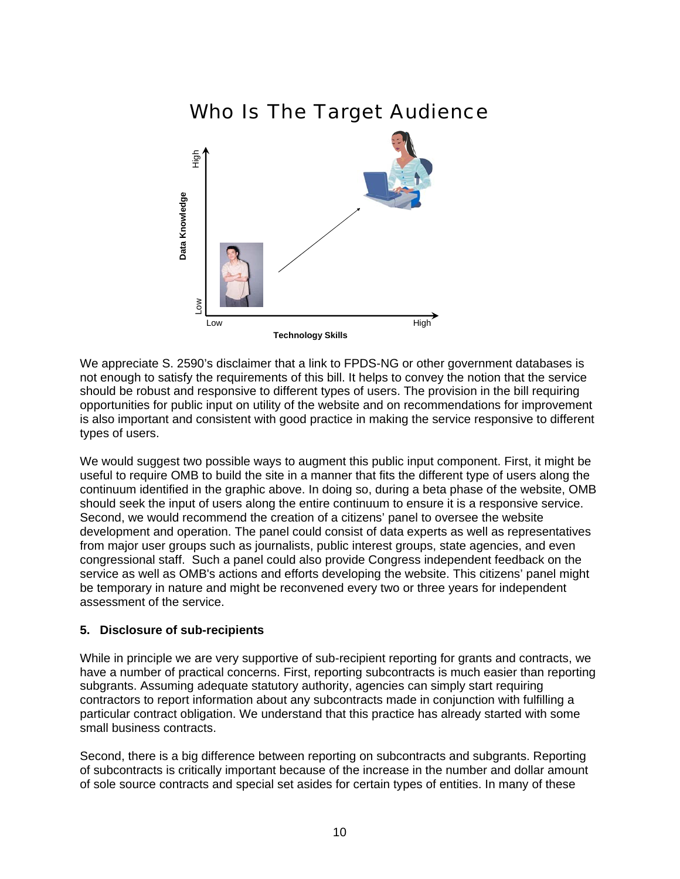# Who Is The Target Audience



We appreciate S. 2590's disclaimer that a link to FPDS-NG or other government databases is not enough to satisfy the requirements of this bill. It helps to convey the notion that the service should be robust and responsive to different types of users. The provision in the bill requiring opportunities for public input on utility of the website and on recommendations for improvement is also important and consistent with good practice in making the service responsive to different types of users.

We would suggest two possible ways to augment this public input component. First, it might be useful to require OMB to build the site in a manner that fits the different type of users along the continuum identified in the graphic above. In doing so, during a beta phase of the website, OMB should seek the input of users along the entire continuum to ensure it is a responsive service. Second, we would recommend the creation of a citizens' panel to oversee the website development and operation. The panel could consist of data experts as well as representatives from major user groups such as journalists, public interest groups, state agencies, and even congressional staff. Such a panel could also provide Congress independent feedback on the service as well as OMB's actions and efforts developing the website. This citizens' panel might be temporary in nature and might be reconvened every two or three years for independent assessment of the service.

#### **5. Disclosure of sub-recipients**

While in principle we are very supportive of sub-recipient reporting for grants and contracts, we have a number of practical concerns. First, reporting subcontracts is much easier than reporting subgrants. Assuming adequate statutory authority, agencies can simply start requiring contractors to report information about any subcontracts made in conjunction with fulfilling a particular contract obligation. We understand that this practice has already started with some small business contracts.

Second, there is a big difference between reporting on subcontracts and subgrants. Reporting of subcontracts is critically important because of the increase in the number and dollar amount of sole source contracts and special set asides for certain types of entities. In many of these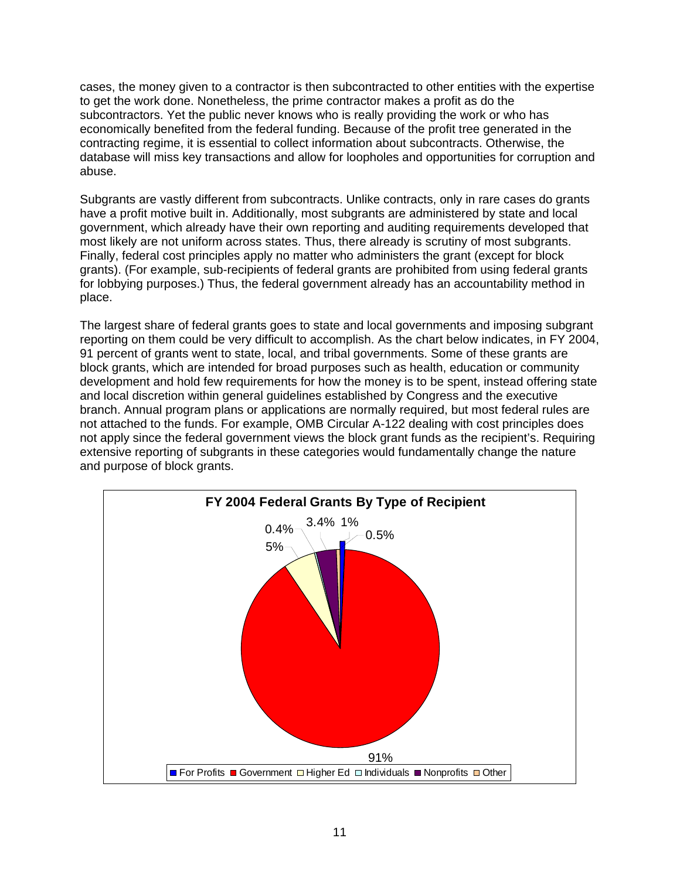cases, the money given to a contractor is then subcontracted to other entities with the expertise to get the work done. Nonetheless, the prime contractor makes a profit as do the subcontractors. Yet the public never knows who is really providing the work or who has economically benefited from the federal funding. Because of the profit tree generated in the contracting regime, it is essential to collect information about subcontracts. Otherwise, the database will miss key transactions and allow for loopholes and opportunities for corruption and abuse.

Subgrants are vastly different from subcontracts. Unlike contracts, only in rare cases do grants have a profit motive built in. Additionally, most subgrants are administered by state and local government, which already have their own reporting and auditing requirements developed that most likely are not uniform across states. Thus, there already is scrutiny of most subgrants. Finally, federal cost principles apply no matter who administers the grant (except for block grants). (For example, sub-recipients of federal grants are prohibited from using federal grants for lobbying purposes.) Thus, the federal government already has an accountability method in place.

The largest share of federal grants goes to state and local governments and imposing subgrant reporting on them could be very difficult to accomplish. As the chart below indicates, in FY 2004, 91 percent of grants went to state, local, and tribal governments. Some of these grants are block grants, which are intended for broad purposes such as health, education or community development and hold few requirements for how the money is to be spent, instead offering state and local discretion within general guidelines established by Congress and the executive branch. Annual program plans or applications are normally required, but most federal rules are not attached to the funds. For example, OMB Circular A-122 dealing with cost principles does not apply since the federal government views the block grant funds as the recipient's. Requiring extensive reporting of subgrants in these categories would fundamentally change the nature and purpose of block grants.

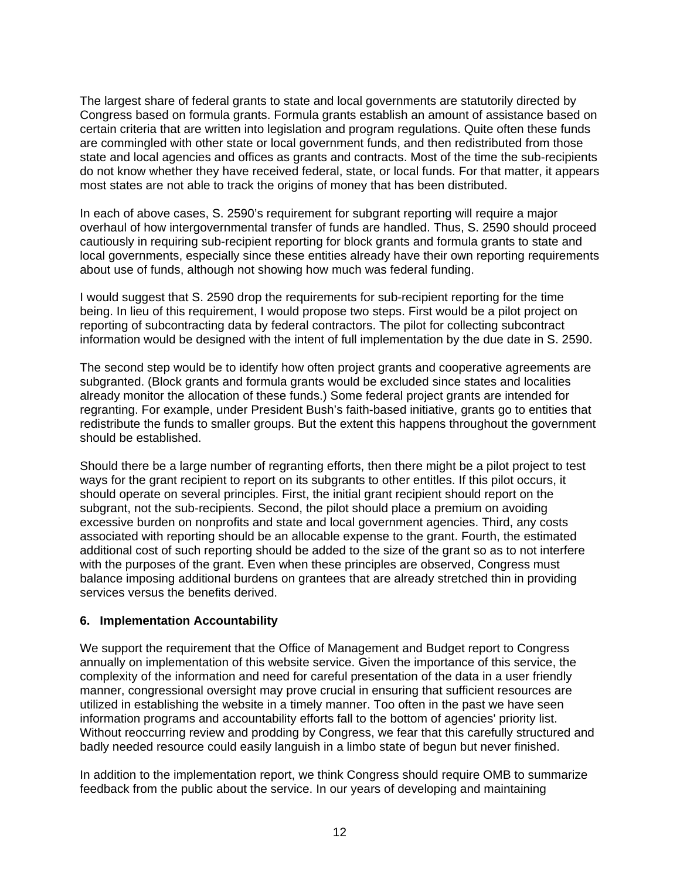The largest share of federal grants to state and local governments are statutorily directed by Congress based on formula grants. Formula grants establish an amount of assistance based on certain criteria that are written into legislation and program regulations. Quite often these funds are commingled with other state or local government funds, and then redistributed from those state and local agencies and offices as grants and contracts. Most of the time the sub-recipients do not know whether they have received federal, state, or local funds. For that matter, it appears most states are not able to track the origins of money that has been distributed.

In each of above cases, S. 2590's requirement for subgrant reporting will require a major overhaul of how intergovernmental transfer of funds are handled. Thus, S. 2590 should proceed cautiously in requiring sub-recipient reporting for block grants and formula grants to state and local governments, especially since these entities already have their own reporting requirements about use of funds, although not showing how much was federal funding.

I would suggest that S. 2590 drop the requirements for sub-recipient reporting for the time being. In lieu of this requirement, I would propose two steps. First would be a pilot project on reporting of subcontracting data by federal contractors. The pilot for collecting subcontract information would be designed with the intent of full implementation by the due date in S. 2590.

The second step would be to identify how often project grants and cooperative agreements are subgranted. (Block grants and formula grants would be excluded since states and localities already monitor the allocation of these funds.) Some federal project grants are intended for regranting. For example, under President Bush's faith-based initiative, grants go to entities that redistribute the funds to smaller groups. But the extent this happens throughout the government should be established.

Should there be a large number of regranting efforts, then there might be a pilot project to test ways for the grant recipient to report on its subgrants to other entitles. If this pilot occurs, it should operate on several principles. First, the initial grant recipient should report on the subgrant, not the sub-recipients. Second, the pilot should place a premium on avoiding excessive burden on nonprofits and state and local government agencies. Third, any costs associated with reporting should be an allocable expense to the grant. Fourth, the estimated additional cost of such reporting should be added to the size of the grant so as to not interfere with the purposes of the grant. Even when these principles are observed, Congress must balance imposing additional burdens on grantees that are already stretched thin in providing services versus the benefits derived.

#### **6. Implementation Accountability**

We support the requirement that the Office of Management and Budget report to Congress annually on implementation of this website service. Given the importance of this service, the complexity of the information and need for careful presentation of the data in a user friendly manner, congressional oversight may prove crucial in ensuring that sufficient resources are utilized in establishing the website in a timely manner. Too often in the past we have seen information programs and accountability efforts fall to the bottom of agencies' priority list. Without reoccurring review and prodding by Congress, we fear that this carefully structured and badly needed resource could easily languish in a limbo state of begun but never finished.

In addition to the implementation report, we think Congress should require OMB to summarize feedback from the public about the service. In our years of developing and maintaining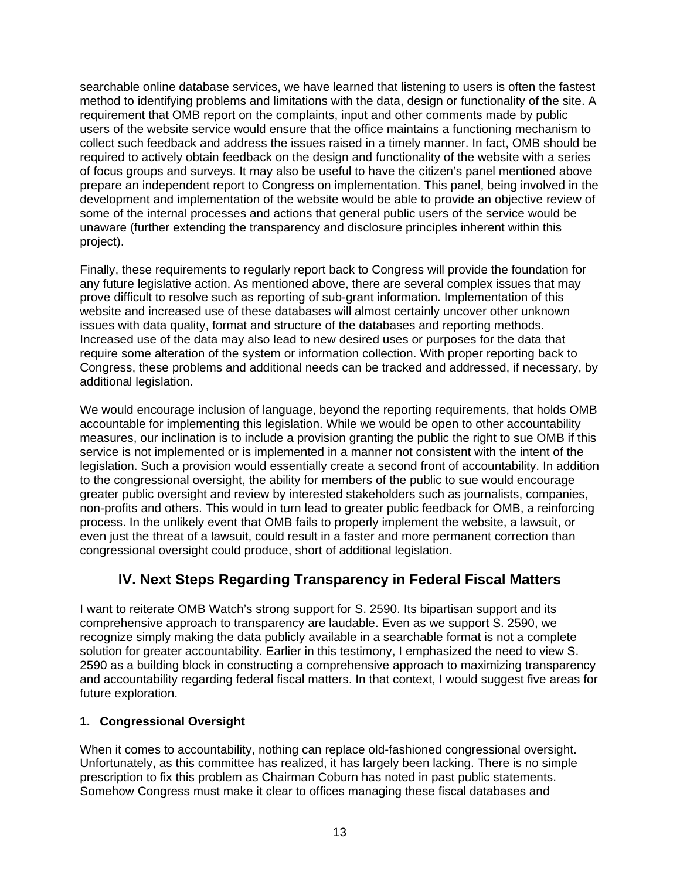searchable online database services, we have learned that listening to users is often the fastest method to identifying problems and limitations with the data, design or functionality of the site. A requirement that OMB report on the complaints, input and other comments made by public users of the website service would ensure that the office maintains a functioning mechanism to collect such feedback and address the issues raised in a timely manner. In fact, OMB should be required to actively obtain feedback on the design and functionality of the website with a series of focus groups and surveys. It may also be useful to have the citizen's panel mentioned above prepare an independent report to Congress on implementation. This panel, being involved in the development and implementation of the website would be able to provide an objective review of some of the internal processes and actions that general public users of the service would be unaware (further extending the transparency and disclosure principles inherent within this project).

Finally, these requirements to regularly report back to Congress will provide the foundation for any future legislative action. As mentioned above, there are several complex issues that may prove difficult to resolve such as reporting of sub-grant information. Implementation of this website and increased use of these databases will almost certainly uncover other unknown issues with data quality, format and structure of the databases and reporting methods. Increased use of the data may also lead to new desired uses or purposes for the data that require some alteration of the system or information collection. With proper reporting back to Congress, these problems and additional needs can be tracked and addressed, if necessary, by additional legislation.

We would encourage inclusion of language, beyond the reporting requirements, that holds OMB accountable for implementing this legislation. While we would be open to other accountability measures, our inclination is to include a provision granting the public the right to sue OMB if this service is not implemented or is implemented in a manner not consistent with the intent of the legislation. Such a provision would essentially create a second front of accountability. In addition to the congressional oversight, the ability for members of the public to sue would encourage greater public oversight and review by interested stakeholders such as journalists, companies, non-profits and others. This would in turn lead to greater public feedback for OMB, a reinforcing process. In the unlikely event that OMB fails to properly implement the website, a lawsuit, or even just the threat of a lawsuit, could result in a faster and more permanent correction than congressional oversight could produce, short of additional legislation.

# **IV. Next Steps Regarding Transparency in Federal Fiscal Matters**

I want to reiterate OMB Watch's strong support for S. 2590. Its bipartisan support and its comprehensive approach to transparency are laudable. Even as we support S. 2590, we recognize simply making the data publicly available in a searchable format is not a complete solution for greater accountability. Earlier in this testimony, I emphasized the need to view S. 2590 as a building block in constructing a comprehensive approach to maximizing transparency and accountability regarding federal fiscal matters. In that context, I would suggest five areas for future exploration.

## **1. Congressional Oversight**

When it comes to accountability, nothing can replace old-fashioned congressional oversight. Unfortunately, as this committee has realized, it has largely been lacking. There is no simple prescription to fix this problem as Chairman Coburn has noted in past public statements. Somehow Congress must make it clear to offices managing these fiscal databases and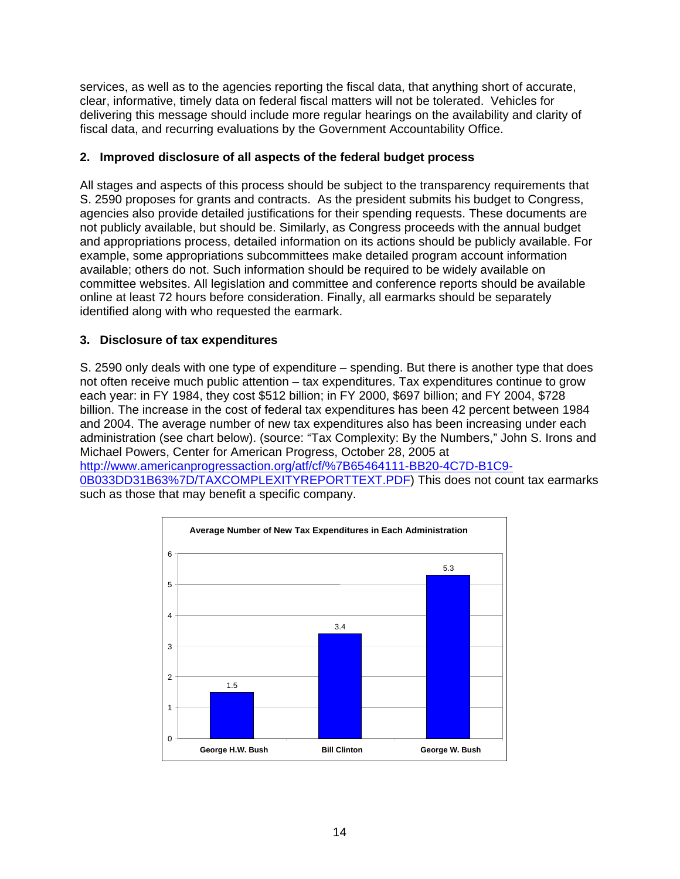services, as well as to the agencies reporting the fiscal data, that anything short of accurate, clear, informative, timely data on federal fiscal matters will not be tolerated. Vehicles for delivering this message should include more regular hearings on the availability and clarity of fiscal data, and recurring evaluations by the Government Accountability Office.

#### **2. Improved disclosure of all aspects of the federal budget process**

All stages and aspects of this process should be subject to the transparency requirements that S. 2590 proposes for grants and contracts. As the president submits his budget to Congress, agencies also provide detailed justifications for their spending requests. These documents are not publicly available, but should be. Similarly, as Congress proceeds with the annual budget and appropriations process, detailed information on its actions should be publicly available. For example, some appropriations subcommittees make detailed program account information available; others do not. Such information should be required to be widely available on committee websites. All legislation and committee and conference reports should be available online at least 72 hours before consideration. Finally, all earmarks should be separately identified along with who requested the earmark.

#### **3. Disclosure of tax expenditures**

S. 2590 only deals with one type of expenditure – spending. But there is another type that does not often receive much public attention – tax expenditures. Tax expenditures continue to grow each year: in FY 1984, they cost \$512 billion; in FY 2000, \$697 billion; and FY 2004, \$728 billion. The increase in the cost of federal tax expenditures has been 42 percent between 1984 and 2004. The average number of new tax expenditures also has been increasing under each administration (see chart below). (source: "Tax Complexity: By the Numbers," John S. Irons and Michael Powers, Center for American Progress, October 28, 2005 at http://www.americanprogressaction.org/atf/cf/%7B65464111-BB20-4C7D-B1C9-

0B033DD31B63%7D/TAXCOMPLEXITYREPORTTEXT.PDF) This does not count tax earmarks such as those that may benefit a specific company.

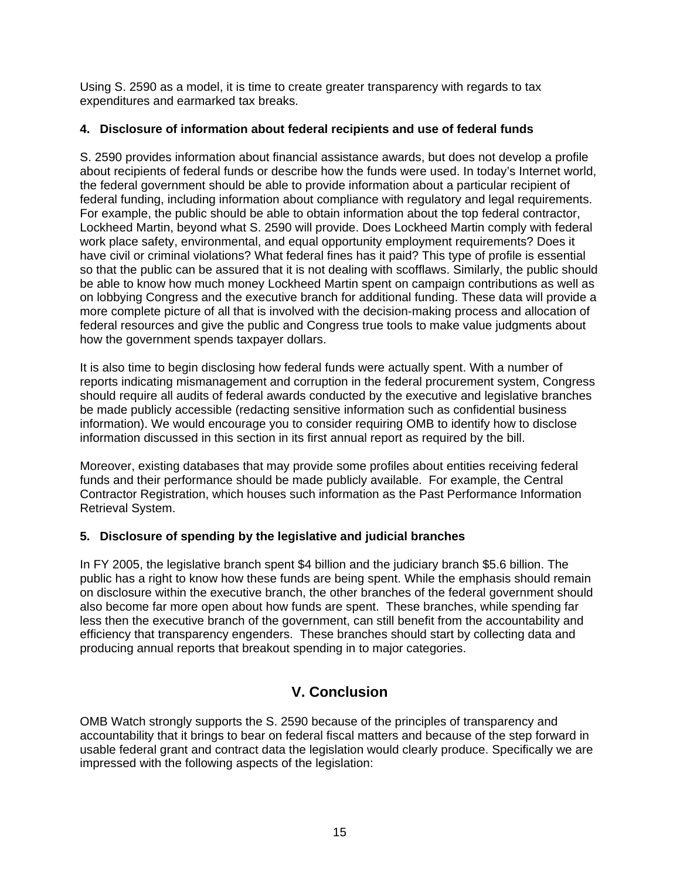Using S. 2590 as a model, it is time to create greater transparency with regards to tax expenditures and earmarked tax breaks.

### **4. Disclosure of information about federal recipients and use of federal funds**

S. 2590 provides information about financial assistance awards, but does not develop a profile about recipients of federal funds or describe how the funds were used. In today's Internet world, the federal government should be able to provide information about a particular recipient of federal funding, including information about compliance with regulatory and legal requirements. For example, the public should be able to obtain information about the top federal contractor, Lockheed Martin, beyond what S. 2590 will provide. Does Lockheed Martin comply with federal work place safety, environmental, and equal opportunity employment requirements? Does it have civil or criminal violations? What federal fines has it paid? This type of profile is essential so that the public can be assured that it is not dealing with scofflaws. Similarly, the public should be able to know how much money Lockheed Martin spent on campaign contributions as well as on lobbying Congress and the executive branch for additional funding. These data will provide a more complete picture of all that is involved with the decision-making process and allocation of federal resources and give the public and Congress true tools to make value judgments about how the government spends taxpayer dollars.

It is also time to begin disclosing how federal funds were actually spent. With a number of reports indicating mismanagement and corruption in the federal procurement system, Congress should require all audits of federal awards conducted by the executive and legislative branches be made publicly accessible (redacting sensitive information such as confidential business information). We would encourage you to consider requiring OMB to identify how to disclose information discussed in this section in its first annual report as required by the bill.

Moreover, existing databases that may provide some profiles about entities receiving federal funds and their performance should be made publicly available. For example, the Central Contractor Registration, which houses such information as the Past Performance Information Retrieval System.

#### **5. Disclosure of spending by the legislative and judicial branches**

In FY 2005, the legislative branch spent \$4 billion and the judiciary branch \$5.6 billion. The public has a right to know how these funds are being spent. While the emphasis should remain on disclosure within the executive branch, the other branches of the federal government should also become far more open about how funds are spent. These branches, while spending far less then the executive branch of the government, can still benefit from the accountability and efficiency that transparency engenders. These branches should start by collecting data and producing annual reports that breakout spending in to major categories.

# **V. Conclusion**

OMB Watch strongly supports the S. 2590 because of the principles of transparency and accountability that it brings to bear on federal fiscal matters and because of the step forward in usable federal grant and contract data the legislation would clearly produce. Specifically we are impressed with the following aspects of the legislation: